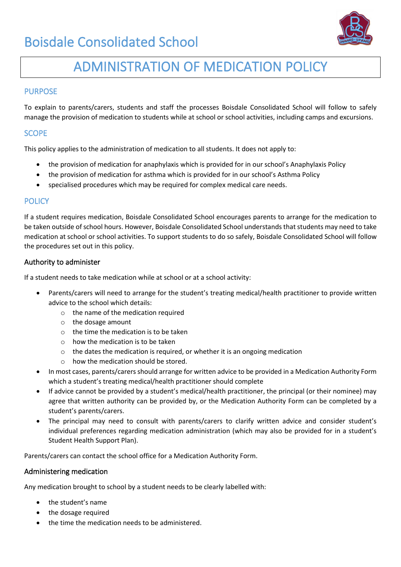# Boisdale Consolidated School



## ADMINISTRATION OF MEDICATION POLICY

#### **PURPOSE**

To explain to parents/carers, students and staff the processes Boisdale Consolidated School will follow to safely manage the provision of medication to students while at school or school activities, including camps and excursions.

#### **SCOPE**

This policy applies to the administration of medication to all students. It does not apply to:

- the provision of medication for anaphylaxis which is provided for in our school's Anaphylaxis Policy
- the provision of medication for asthma which is provided for in our school's Asthma Policy
- specialised procedures which may be required for complex medical care needs.

#### **POLICY**

If a student requires medication, Boisdale Consolidated School encourages parents to arrange for the medication to be taken outside of school hours. However, Boisdale Consolidated School understands that students may need to take medication at school or school activities. To support students to do so safely, Boisdale Consolidated School will follow the procedures set out in this policy.

#### Authority to administer

If a student needs to take medication while at school or at a school activity:

- Parents/carers will need to arrange for the student's treating medical/health practitioner to provide written advice to the school which details:
	- o the name of the medication required
	- o the dosage amount
	- $\circ$  the time the medication is to be taken
	- o how the medication is to be taken
	- $\circ$  the dates the medication is required, or whether it is an ongoing medication
	- $\circ$  how the medication should be stored.
- In most cases, parents/carers should arrange for written advice to be provided in a Medication Authority Form which a student's treating medical/health practitioner should complete
- If advice cannot be provided by a student's medical/health practitioner, the principal (or their nominee) may agree that written authority can be provided by, or the Medication Authority Form can be completed by a student's parents/carers.
- The principal may need to consult with parents/carers to clarify written advice and consider student's individual preferences regarding medication administration (which may also be provided for in a student's Student Health Support Plan).

Parents/carers can contact the school office for a Medication Authority Form.

#### Administering medication

Any medication brought to school by a student needs to be clearly labelled with:

- the student's name
- the dosage required
- the time the medication needs to be administered.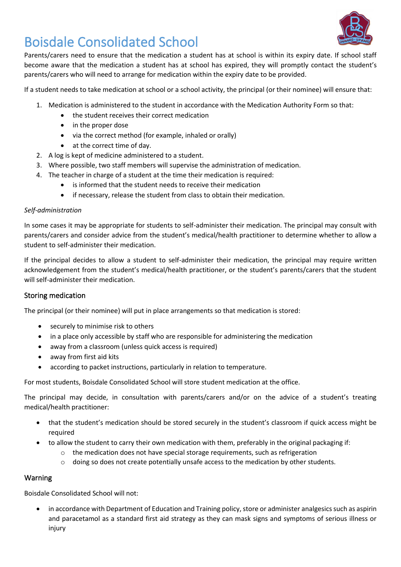

## Boisdale Consolidated School

Parents/carers need to ensure that the medication a student has at school is within its expiry date. If school staff become aware that the medication a student has at school has expired, they will promptly contact the student's parents/carers who will need to arrange for medication within the expiry date to be provided.

If a student needs to take medication at school or a school activity, the principal (or their nominee) will ensure that:

- 1. Medication is administered to the student in accordance with the Medication Authority Form so that:
	- the student receives their correct medication
	- in the proper dose
	- via the correct method (for example, inhaled or orally)
	- at the correct time of day.
- 2. A log is kept of medicine administered to a student.
- 3. Where possible, two staff members will supervise the administration of medication.
- 4. The teacher in charge of a student at the time their medication is required:
	- is informed that the student needs to receive their medication
	- if necessary, release the student from class to obtain their medication.

#### *Self-administration*

In some cases it may be appropriate for students to self-administer their medication. The principal may consult with parents/carers and consider advice from the student's medical/health practitioner to determine whether to allow a student to self-administer their medication.

If the principal decides to allow a student to self-administer their medication, the principal may require written acknowledgement from the student's medical/health practitioner, or the student's parents/carers that the student will self-administer their medication.

#### Storing medication

The principal (or their nominee) will put in place arrangements so that medication is stored:

- securely to minimise risk to others
- in a place only accessible by staff who are responsible for administering the medication
- away from a classroom (unless quick access is required)
- away from first aid kits
- according to packet instructions, particularly in relation to temperature.

For most students, Boisdale Consolidated School will store student medication at the office.

The principal may decide, in consultation with parents/carers and/or on the advice of a student's treating medical/health practitioner:

- that the student's medication should be stored securely in the student's classroom if quick access might be required
- to allow the student to carry their own medication with them, preferably in the original packaging if:
	- $\circ$  the medication does not have special storage requirements, such as refrigeration
	- o doing so does not create potentially unsafe access to the medication by other students.

### Warning

Boisdale Consolidated School will not:

• in accordance with Department of Education and Training policy, store or administer analgesics such as aspirin and paracetamol as a standard first aid strategy as they can mask signs and symptoms of serious illness or injury